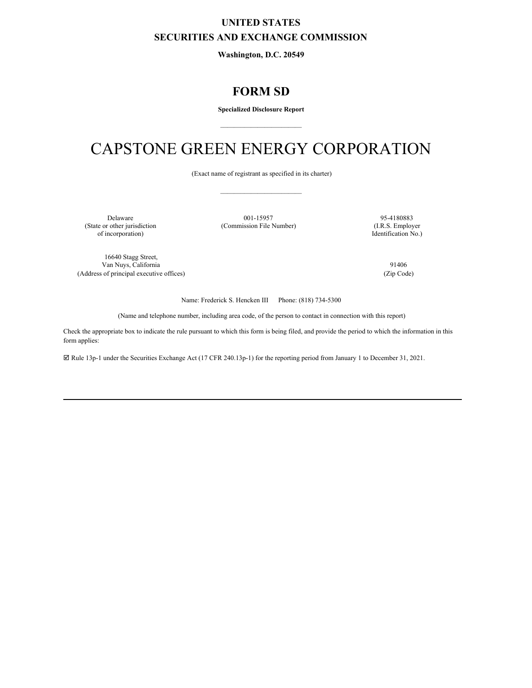### **UNITED STATES SECURITIES AND EXCHANGE COMMISSION**

**Washington, D.C. 20549**

## **FORM SD**

**Specialized Disclosure Report** \_\_\_\_\_\_\_\_\_\_\_\_\_\_\_\_\_\_\_\_\_\_\_\_

# CAPSTONE GREEN ENERGY CORPORATION

(Exact name of registrant as specified in its charter) \_\_\_\_\_\_\_\_\_\_\_\_\_\_\_\_\_\_\_\_\_\_\_\_

(State or other jurisdiction (Commission File Number) of incorporation)

Delaware 001-15957 95-4180883<br>
(State or other jurisdiction (Commission File Number) 95-4180883<br>
(I.R.S. Employer

Identification No.)

16640 Stagg Street, Van Nuys, California 91406 (Address of principal executive offices) (Zip Code)

Name: Frederick S. Hencken III Phone: (818) 734-5300

(Name and telephone number, including area code, of the person to contact in connection with this report)

Check the appropriate box to indicate the rule pursuant to which this form is being filed, and provide the period to which the information in this form applies:

þ Rule 13p-1 under the Securities Exchange Act (17 CFR 240.13p-1) for the reporting period from January 1 to December 31, 2021.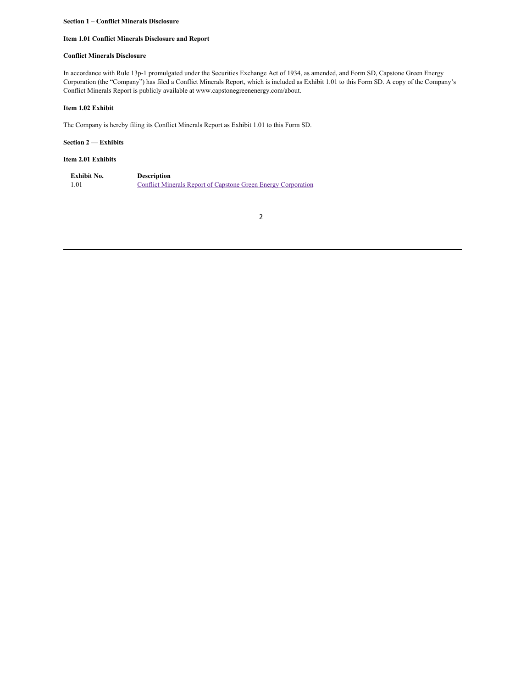#### **Section 1 – Conflict Minerals Disclosure**

#### **Item 1.01 Conflict Minerals Disclosure and Report**

#### **Conflict Minerals Disclosure**

In accordance with Rule 13p-1 promulgated under the Securities Exchange Act of 1934, as amended, and Form SD, Capstone Green Energy Corporation (the "Company") has filed a Conflict Minerals Report, which is included as Exhibit 1.01 to this Form SD. A copy of the Company's Conflict Minerals Report is publicly available at www.capstonegreenenergy.com/about.

#### **Item 1.02 Exhibit**

The Company is hereby filing its Conflict Minerals Report as Exhibit 1.01 to this Form SD.

#### **Section 2 — Exhibits**

#### **Item 2.01 Exhibits**

| Exhibit No. | <b>Description</b>                                            |
|-------------|---------------------------------------------------------------|
| 1.01        | Conflict Minerals Report of Capstone Green Energy Corporation |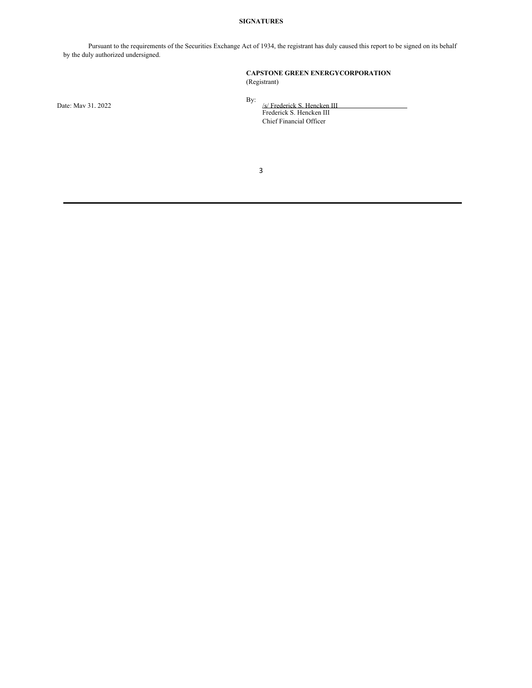#### **SIGNATURES**

Pursuant to the requirements of the Securities Exchange Act of 1934, the registrant has duly caused this report to be signed on its behalf by the duly authorized undersigned.

#### **CAPSTONE GREEN ENERGYCORPORATION** (Registrant)

Date: May 31, 2022

By:

/s/ Frederick S. Hencken III Frederick S. Hencken III Chief Financial Officer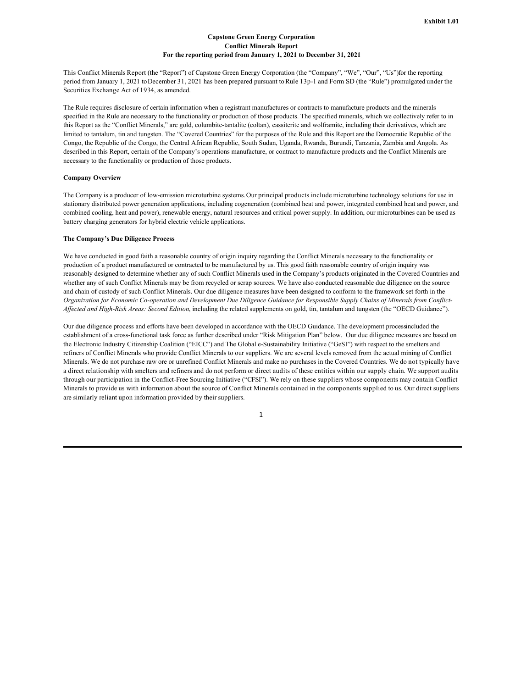#### **Capstone Green Energy Corporation Conflict Minerals Report For the reporting period from January 1, 2021 to December 31, 2021**

This Conflict Minerals Report (the "Report") of Capstone Green Energy Corporation (the "Company", "We", "Our", "Us")for the reporting period from January 1, 2021 toDecember 31, 2021 has been prepared pursuant toRule 13p-1 and Form SD (the "Rule") promulgated under the Securities Exchange Act of 1934, as amended.

The Rule requires disclosure of certain information when a registrant manufactures or contracts to manufacture products and the minerals specified in the Rule are necessary to the functionality or production of those products. The specified minerals, which we collectively refer to in this Report as the "Conflict Minerals," are gold, columbite-tantalite (coltan), cassiterite and wolframite, including their derivatives, which are limited to tantalum, tin and tungsten. The "Covered Countries" for the purposes of the Rule and this Report are the Democratic Republic of the Congo, the Republic of the Congo, the Central African Republic, South Sudan, Uganda, Rwanda, Burundi, Tanzania, Zambia and Angola. As described in this Report, certain of the Company's operations manufacture, or contract to manufacture products and the Conflict Minerals are necessary to the functionality or production of those products.

#### **Company Overview**

The Company is a producer of low-emission microturbine systems.Our principal products include microturbine technology solutions for use in stationary distributed power generation applications, including cogeneration (combined heat and power, integrated combined heat and power, and combined cooling, heat and power), renewable energy, natural resources and critical power supply. In addition, our microturbines can be used as battery charging generators for hybrid electric vehicle applications.

#### **The Company's Due Diligence Process**

We have conducted in good faith a reasonable country of origin inquiry regarding the Conflict Minerals necessary to the functionality or production of a product manufactured or contracted to be manufactured by us. This good faith reasonable country of origin inquiry was reasonably designed to determine whether any of such Conflict Minerals used in the Company's products originated in the Covered Countries and whether any of such Conflict Minerals may be from recycled or scrap sources. We have also conducted reasonable due diligence on the source and chain of custody of such Conflict Minerals. Our due diligence measures have been designed to conform to the framework set forth in the Organization for Economic Co-operation and Development Due Diligence Guidance for Responsible Supply Chains of Minerals from Conflict-*Af ected and High-Risk Areas: Second Edition*, including the related supplements on gold, tin, tantalum and tungsten (the "OECD Guidance").

Our due diligence process and efforts have been developed in accordance with the OECD Guidance. The development processincluded the establishment of a cross-functional task force as further described under "Risk Mitigation Plan" below. Our due diligence measures are based on the Electronic Industry Citizenship Coalition ("EICC") and The Global e-Sustainability Initiative ("GeSI") with respect to the smelters and refiners of Conflict Minerals who provide Conflict Minerals to our suppliers. We are several levels removed from the actual mining of Conflict Minerals. We do not purchase raw ore or unrefined Conflict Minerals and make no purchases in the Covered Countries. We do not typically have a direct relationship with smelters and refiners and do not perform or direct audits of these entities within our supply chain. We support audits through our participation in the Conflict-Free Sourcing Initiative ("CFSI"). We rely on these suppliers whose components may contain Conflict Minerals to provide us with information about the source of Conflict Minerals contained in the components supplied to us. Our direct suppliers are similarly reliant upon information provided by their suppliers.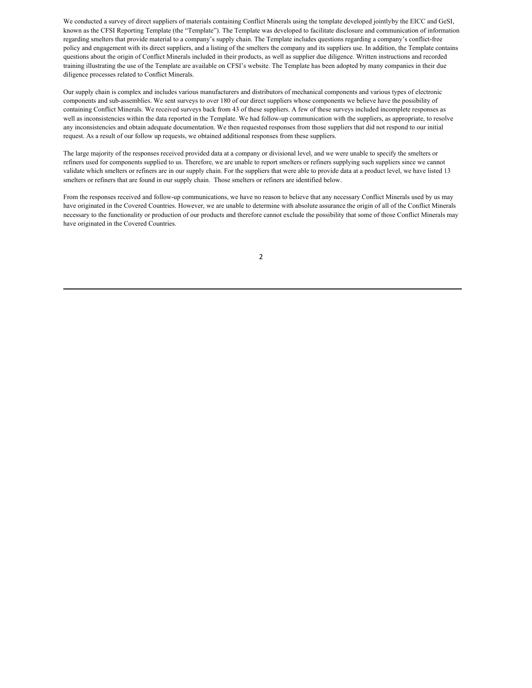<span id="page-4-0"></span>We conducted a survey of direct suppliers of materials containing Conflict Minerals using the template developed jointlyby the EICC and GeSI, known as the CFSI Reporting Template (the "Template"). The Template was developed to facilitate disclosure and communication of information regarding smelters that provide material to a company's supply chain. The Template includes questions regarding a company's conflict-free policy and engagement with its direct suppliers, and a listing of the smelters the company and its suppliers use. In addition, the Template contains questions about the origin of Conflict Minerals included in their products, as well as supplier due diligence. Written instructions and recorded training illustrating the use of the Template are available on CFSI's website. The Template has been adopted by many companies in their due diligence processes related to Conflict Minerals.

Our supply chain is complex and includes various manufacturers and distributors of mechanical components and various types of electronic components and sub-assemblies. We sent surveys to over 180 of our direct suppliers whose components we believe have the possibility of containing Conflict Minerals. We received surveys back from 43 of these suppliers. A few of these surveys included incomplete responses as well as inconsistencies within the data reported in the Template. We had follow-up communication with the suppliers, as appropriate, to resolve any inconsistencies and obtain adequate documentation. We then requested responses from those suppliers that did not respond to our initial request. As a result of our follow up requests, we obtained additional responses from these suppliers.

The large majority of the responses received provided data at a company or divisional level, and we were unable to specify the smelters or refiners used for components supplied to us. Therefore, we are unable to report smelters or refiners supplying such suppliers since we cannot validate which smelters or refiners are in our supply chain. For the suppliers that were able to provide data at a product level, we have listed 13 smelters or refiners that are found in our supply chain. Those smelters or refiners are identified below.

From the responses received and follow-up communications, we have no reason to believe that any necessary Conflict Minerals used by us may have originated in the Covered Countries. However, we are unable to determine with absolute assurance the origin of all of the Conflict Minerals necessary to the functionality or production of our products and therefore cannot exclude the possibility that some of those Conflict Minerals may have originated in the Covered Countries.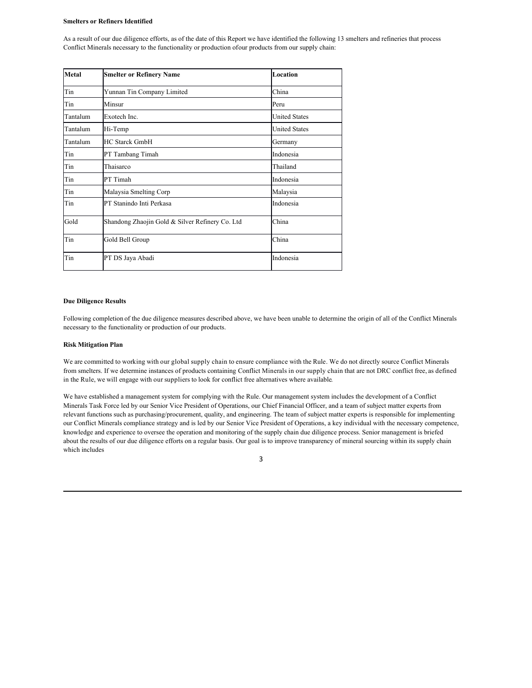#### **Smelters or Refiners Identified**

As a result of our due diligence efforts, as of the date of this Report we have identified the following 13 smelters and refineries that process Conflict Minerals necessary to the functionality or production ofour products from our supply chain:

| <b>Metal</b> | <b>Smelter or Refinery Name</b>                 | Location             |
|--------------|-------------------------------------------------|----------------------|
| Tin          | Yunnan Tin Company Limited                      | China                |
| Tin          | Minsur                                          | Peru                 |
| Tantalum     | Exotech Inc.                                    | <b>United States</b> |
| Tantalum     | Hi-Temp                                         | <b>United States</b> |
| Tantalum     | <b>HC Starck GmbH</b>                           | Germany              |
| Tin          | PT Tambang Timah                                | Indonesia            |
| Tin          | Thaisarco                                       | Thailand             |
| Tin          | PT Timah                                        | Indonesia            |
| Tin          | Malaysia Smelting Corp                          | Malaysia             |
| Tin          | PT Stanindo Inti Perkasa                        | Indonesia            |
| Gold         | Shandong Zhaojin Gold & Silver Refinery Co. Ltd | China                |
| Tin          | Gold Bell Group                                 | China                |
| Tin          | PT DS Jaya Abadi                                | Indonesia            |

#### **Due Diligence Results**

Following completion of the due diligence measures described above, we have been unable to determine the origin of all of the Conflict Minerals necessary to the functionality or production of our products.

#### **Risk Mitigation Plan**

We are committed to working with our global supply chain to ensure compliance with the Rule. We do not directly source Conflict Minerals from smelters. If we determine instances of products containing Conflict Minerals in our supply chain that are not DRC conflict free, as defined in the Rule, we will engage with our suppliers to look for conflict free alternatives where available.

We have established a management system for complying with the Rule. Our management system includes the development of a Conflict Minerals Task Force led by our Senior Vice President of Operations, our Chief Financial Officer, and a team of subject matter experts from relevant functions such as purchasing/procurement, quality, and engineering. The team of subject matter experts is responsible for implementing our Conflict Minerals compliance strategy and is led by our Senior Vice President of Operations, a key individual with the necessary competence, knowledge and experience to oversee the operation and monitoring of the supply chain due diligence process. Senior management is briefed about the results of our due diligence efforts on a regular basis. Our goal is to improve transparency of mineral sourcing within its supply chain which includes